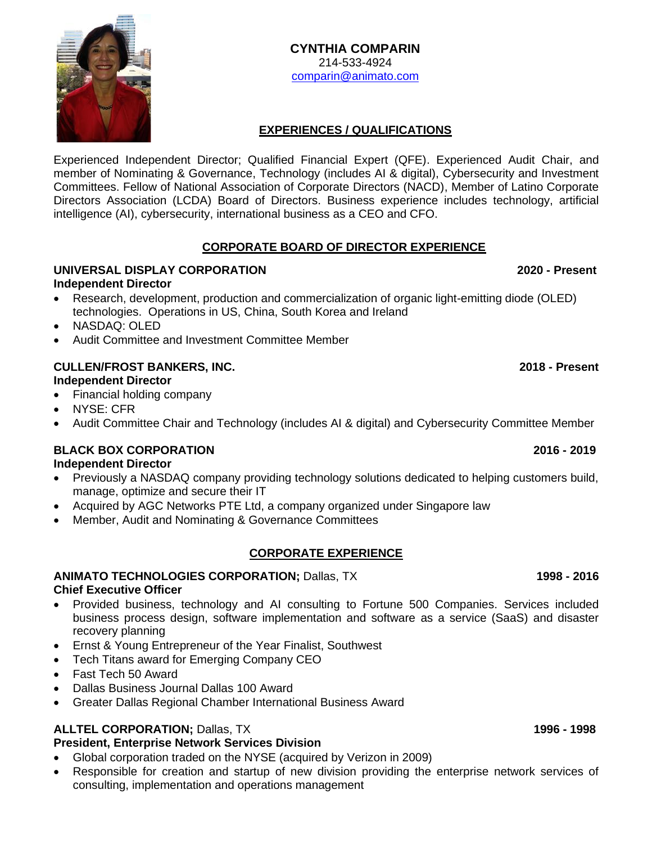**CYNTHIA COMPARIN** 214-533-4924 [comparin@animato.com](mailto:comparin@animato.com)

## **EXPERIENCES / QUALIFICATIONS**

Experienced Independent Director; Qualified Financial Expert (QFE). Experienced Audit Chair, and member of Nominating & Governance, Technology (includes AI & digital), Cybersecurity and Investment Committees. Fellow of National Association of Corporate Directors (NACD), Member of Latino Corporate Directors Association (LCDA) Board of Directors. Business experience includes technology, artificial intelligence (AI), cybersecurity, international business as a CEO and CFO.

## **CORPORATE BOARD OF DIRECTOR EXPERIENCE**

#### **UNIVERSAL DISPLAY CORPORATION 2020 - Present Independent Director**

- Research, development, production and commercialization of organic light-emitting diode (OLED) technologies. Operations in US, China, South Korea and Ireland
- NASDAQ: OLED
- Audit Committee and Investment Committee Member

## **CULLEN/FROST BANKERS, INC. 2018 - Present**

## **Independent Director**

- Financial holding company
- NYSE: CFR
- Audit Committee Chair and Technology (includes AI & digital) and Cybersecurity Committee Member

## **BLACK BOX CORPORATION 2016 - 2019**

## **Independent Director**

- Previously a NASDAQ company providing technology solutions dedicated to helping customers build, manage, optimize and secure their IT
- Acquired by AGC Networks PTE Ltd, a company organized under Singapore law
- Member, Audit and Nominating & Governance Committees

## **CORPORATE EXPERIENCE**

## **ANIMATO TECHNOLOGIES CORPORATION;** Dallas, TX **1998 - 2016**

## **Chief Executive Officer**

- Provided business, technology and AI consulting to Fortune 500 Companies. Services included business process design, software implementation and software as a service (SaaS) and disaster recovery planning
- Ernst & Young Entrepreneur of the Year Finalist, Southwest
- Tech Titans award for Emerging Company CEO
- Fast Tech 50 Award
- Dallas Business Journal Dallas 100 Award
- Greater Dallas Regional Chamber International Business Award

# **ALLTEL CORPORATION;** Dallas, TX **1996 - 1998**

## **President, Enterprise Network Services Division**

- Global corporation traded on the NYSE (acquired by Verizon in 2009)
- Responsible for creation and startup of new division providing the enterprise network services of consulting, implementation and operations management